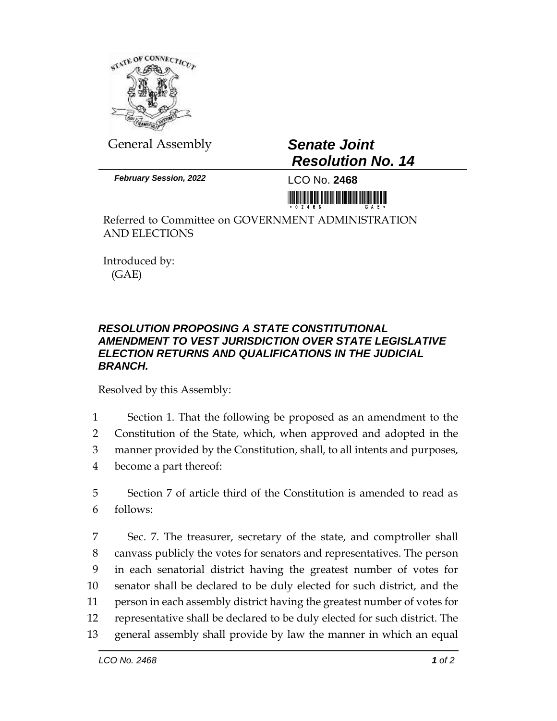

General Assembly *Senate Joint*

*Resolution No. 14*

*February Session, 2022* LCO No. **2468**

<u> Hillingan karatan ing Kabupatèn Bandaran Ing Kabupatèn Bandaran Ing Kabupatèn Bandaran Ing Kabupatèn Bandaran </u>

Referred to Committee on GOVERNMENT ADMINISTRATION AND ELECTIONS

Introduced by: (GAE)

## *RESOLUTION PROPOSING A STATE CONSTITUTIONAL AMENDMENT TO VEST JURISDICTION OVER STATE LEGISLATIVE ELECTION RETURNS AND QUALIFICATIONS IN THE JUDICIAL BRANCH.*

Resolved by this Assembly:

1 Section 1. That the following be proposed as an amendment to the

2 Constitution of the State, which, when approved and adopted in the

3 manner provided by the Constitution, shall, to all intents and purposes,

4 become a part thereof:

5 Section 7 of article third of the Constitution is amended to read as 6 follows:

 Sec. 7. The treasurer, secretary of the state, and comptroller shall canvass publicly the votes for senators and representatives. The person in each senatorial district having the greatest number of votes for senator shall be declared to be duly elected for such district, and the person in each assembly district having the greatest number of votes for representative shall be declared to be duly elected for such district. The general assembly shall provide by law the manner in which an equal